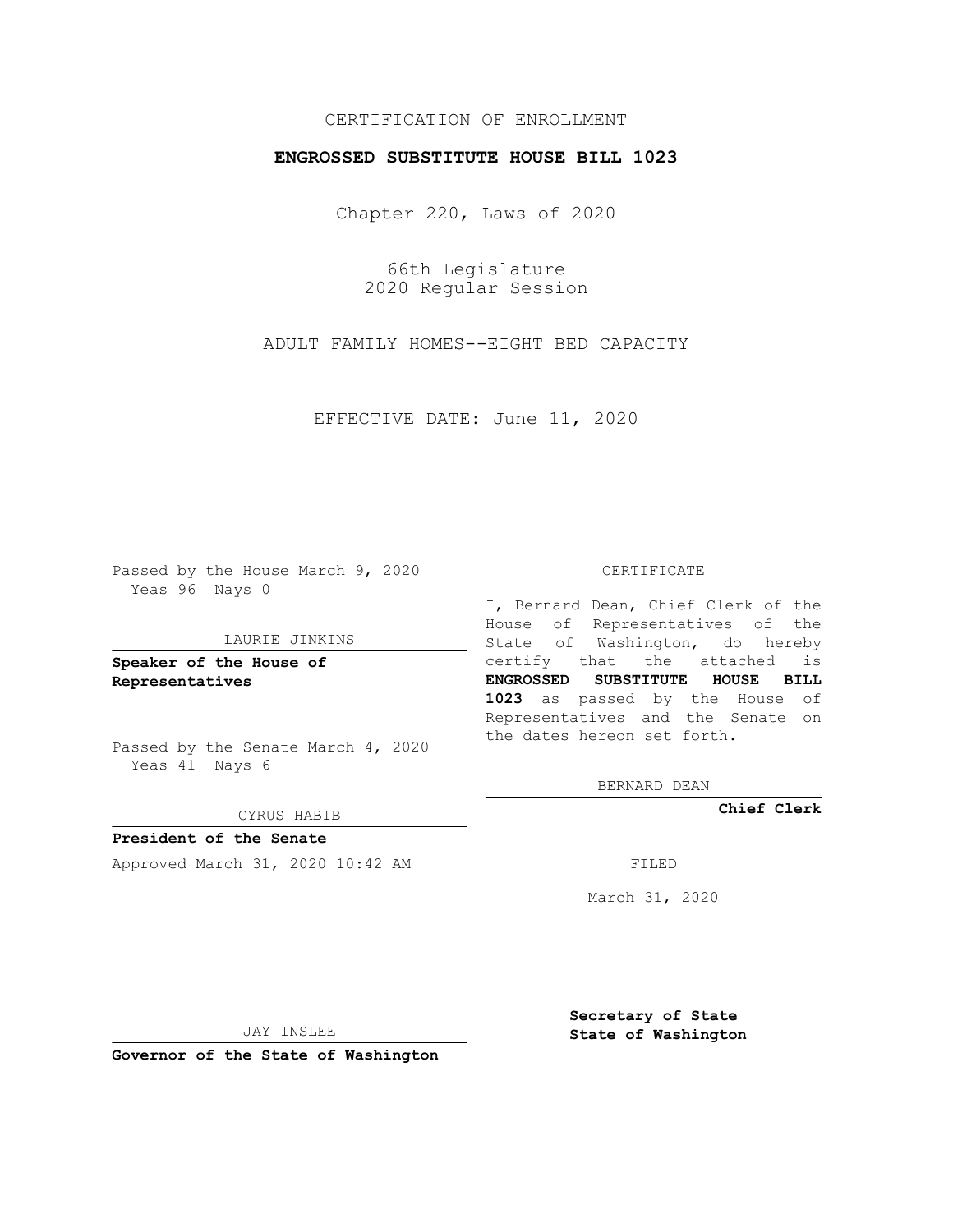## CERTIFICATION OF ENROLLMENT

## **ENGROSSED SUBSTITUTE HOUSE BILL 1023**

Chapter 220, Laws of 2020

66th Legislature 2020 Regular Session

ADULT FAMILY HOMES--EIGHT BED CAPACITY

EFFECTIVE DATE: June 11, 2020

Passed by the House March 9, 2020 Yeas 96 Nays 0

#### LAURIE JINKINS

**Speaker of the House of Representatives**

Passed by the Senate March 4, 2020 Yeas 41 Nays 6

#### CYRUS HABIB

**President of the Senate** Approved March 31, 2020 10:42 AM FILED

#### CERTIFICATE

I, Bernard Dean, Chief Clerk of the House of Representatives of the State of Washington, do hereby certify that the attached is **ENGROSSED SUBSTITUTE HOUSE BILL 1023** as passed by the House of Representatives and the Senate on the dates hereon set forth.

BERNARD DEAN

**Chief Clerk**

March 31, 2020

JAY INSLEE

**Governor of the State of Washington**

**Secretary of State State of Washington**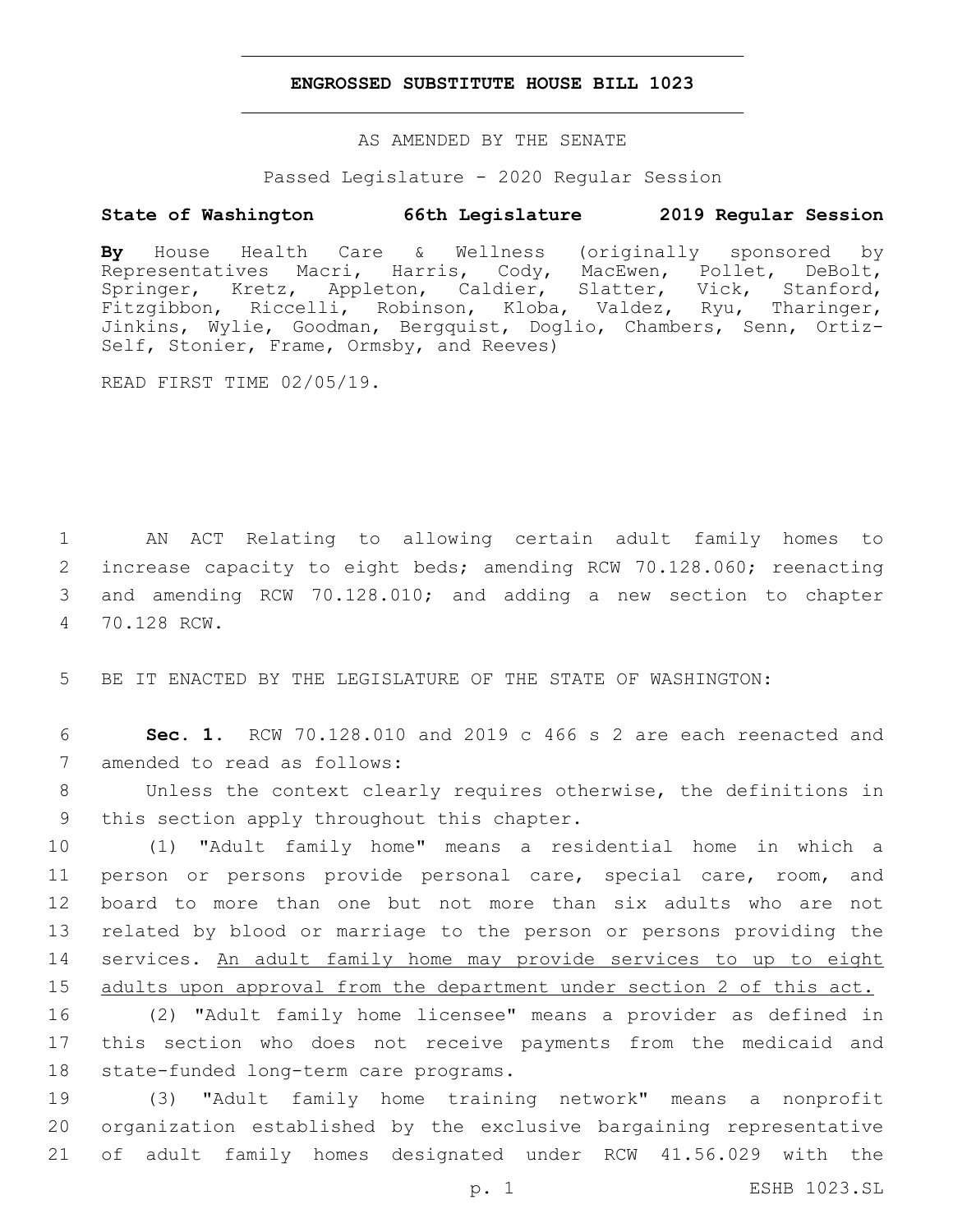## **ENGROSSED SUBSTITUTE HOUSE BILL 1023**

AS AMENDED BY THE SENATE

Passed Legislature - 2020 Regular Session

# **State of Washington 66th Legislature 2019 Regular Session**

**By** House Health Care & Wellness (originally sponsored by Representatives Macri, Harris, Cody, MacEwen, Pollet, DeBolt, Springer, Kretz, Appleton, Caldier, Slatter, Vick, Stanford, Fitzgibbon, Riccelli, Robinson, Kloba, Valdez, Ryu, Tharinger, Jinkins, Wylie, Goodman, Bergquist, Doglio, Chambers, Senn, Ortiz-Self, Stonier, Frame, Ormsby, and Reeves)

READ FIRST TIME 02/05/19.

 AN ACT Relating to allowing certain adult family homes to increase capacity to eight beds; amending RCW 70.128.060; reenacting and amending RCW 70.128.010; and adding a new section to chapter 70.128 RCW.4

5 BE IT ENACTED BY THE LEGISLATURE OF THE STATE OF WASHINGTON:

6 **Sec. 1.** RCW 70.128.010 and 2019 c 466 s 2 are each reenacted and 7 amended to read as follows:

8 Unless the context clearly requires otherwise, the definitions in 9 this section apply throughout this chapter.

 (1) "Adult family home" means a residential home in which a person or persons provide personal care, special care, room, and board to more than one but not more than six adults who are not related by blood or marriage to the person or persons providing the services. An adult family home may provide services to up to eight adults upon approval from the department under section 2 of this act.

16 (2) "Adult family home licensee" means a provider as defined in 17 this section who does not receive payments from the medicaid and 18 state-funded long-term care programs.

19 (3) "Adult family home training network" means a nonprofit 20 organization established by the exclusive bargaining representative 21 of adult family homes designated under RCW 41.56.029 with the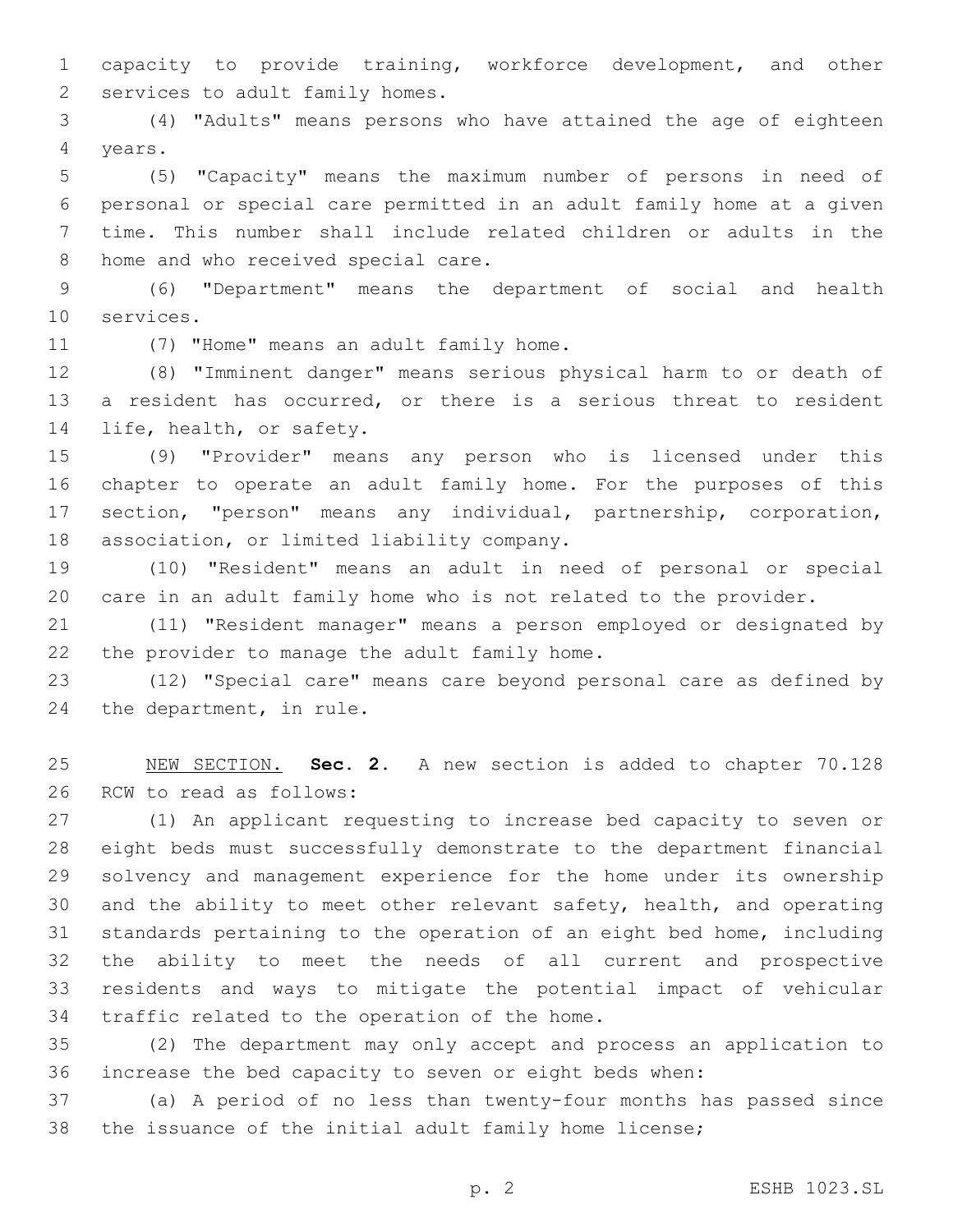capacity to provide training, workforce development, and other 2 services to adult family homes.

 (4) "Adults" means persons who have attained the age of eighteen 4 years.

 (5) "Capacity" means the maximum number of persons in need of personal or special care permitted in an adult family home at a given time. This number shall include related children or adults in the 8 home and who received special care.

 (6) "Department" means the department of social and health 10 services.

11 (7) "Home" means an adult family home.

 (8) "Imminent danger" means serious physical harm to or death of a resident has occurred, or there is a serious threat to resident 14 life, health, or safety.

 (9) "Provider" means any person who is licensed under this chapter to operate an adult family home. For the purposes of this section, "person" means any individual, partnership, corporation, 18 association, or limited liability company.

 (10) "Resident" means an adult in need of personal or special care in an adult family home who is not related to the provider.

 (11) "Resident manager" means a person employed or designated by 22 the provider to manage the adult family home.

 (12) "Special care" means care beyond personal care as defined by 24 the department, in rule.

 NEW SECTION. **Sec. 2.** A new section is added to chapter 70.128 26 RCW to read as follows:

 (1) An applicant requesting to increase bed capacity to seven or eight beds must successfully demonstrate to the department financial solvency and management experience for the home under its ownership and the ability to meet other relevant safety, health, and operating standards pertaining to the operation of an eight bed home, including the ability to meet the needs of all current and prospective residents and ways to mitigate the potential impact of vehicular 34 traffic related to the operation of the home.

 (2) The department may only accept and process an application to increase the bed capacity to seven or eight beds when:

 (a) A period of no less than twenty-four months has passed since the issuance of the initial adult family home license;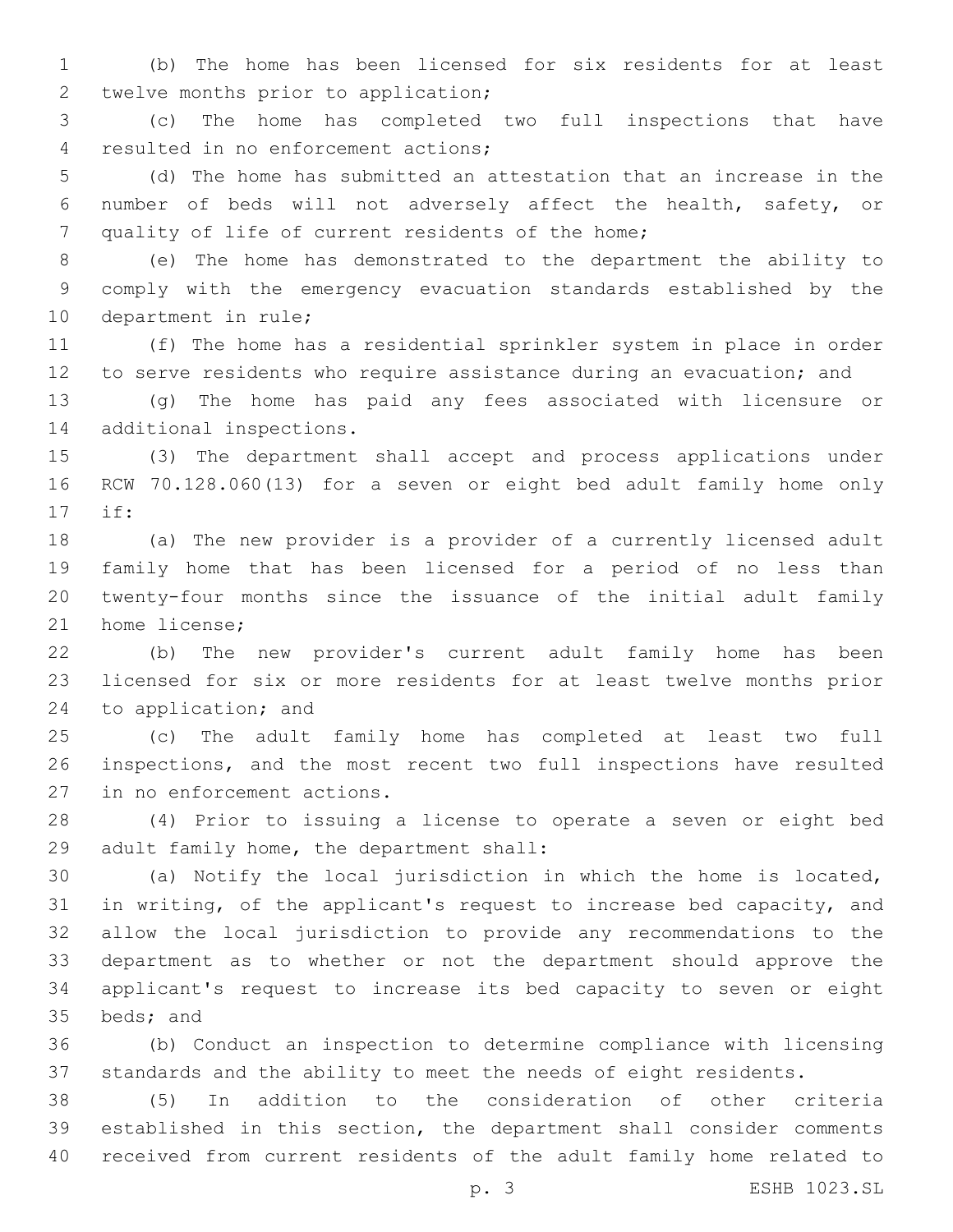(b) The home has been licensed for six residents for at least 2 twelve months prior to application;

 (c) The home has completed two full inspections that have 4 resulted in no enforcement actions;

 (d) The home has submitted an attestation that an increase in the number of beds will not adversely affect the health, safety, or 7 quality of life of current residents of the home;

 (e) The home has demonstrated to the department the ability to comply with the emergency evacuation standards established by the 10 department in rule;

 (f) The home has a residential sprinkler system in place in order to serve residents who require assistance during an evacuation; and

 (g) The home has paid any fees associated with licensure or 14 additional inspections.

 (3) The department shall accept and process applications under RCW 70.128.060(13) for a seven or eight bed adult family home only if:17

 (a) The new provider is a provider of a currently licensed adult family home that has been licensed for a period of no less than twenty-four months since the issuance of the initial adult family 21 home license;

 (b) The new provider's current adult family home has been licensed for six or more residents for at least twelve months prior 24 to application; and

 (c) The adult family home has completed at least two full inspections, and the most recent two full inspections have resulted 27 in no enforcement actions.

 (4) Prior to issuing a license to operate a seven or eight bed 29 adult family home, the department shall:

 (a) Notify the local jurisdiction in which the home is located, in writing, of the applicant's request to increase bed capacity, and allow the local jurisdiction to provide any recommendations to the department as to whether or not the department should approve the applicant's request to increase its bed capacity to seven or eight 35 beds; and

 (b) Conduct an inspection to determine compliance with licensing standards and the ability to meet the needs of eight residents.

 (5) In addition to the consideration of other criteria established in this section, the department shall consider comments received from current residents of the adult family home related to

p. 3 ESHB 1023.SL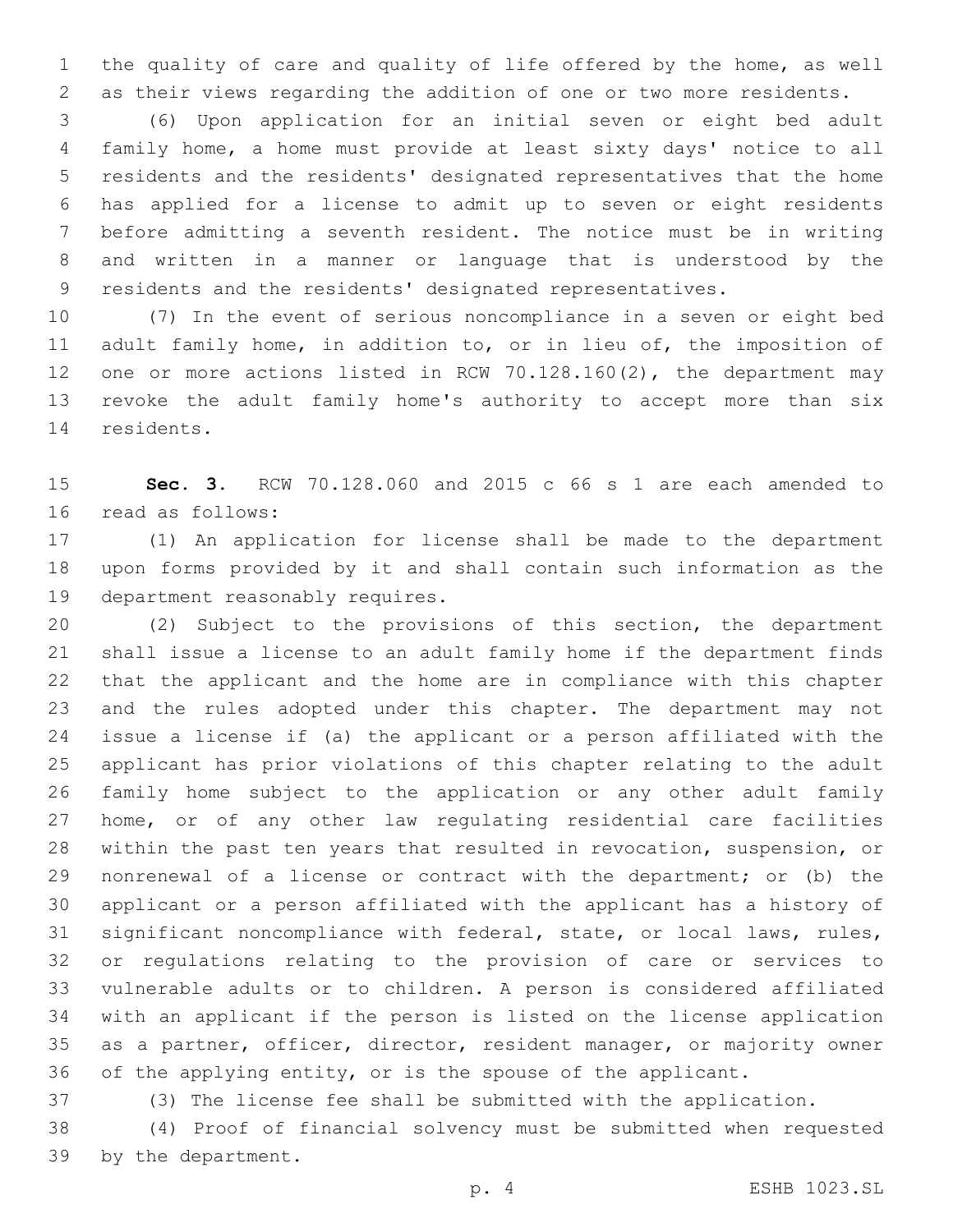the quality of care and quality of life offered by the home, as well as their views regarding the addition of one or two more residents.

 (6) Upon application for an initial seven or eight bed adult family home, a home must provide at least sixty days' notice to all residents and the residents' designated representatives that the home has applied for a license to admit up to seven or eight residents before admitting a seventh resident. The notice must be in writing and written in a manner or language that is understood by the residents and the residents' designated representatives.

 (7) In the event of serious noncompliance in a seven or eight bed adult family home, in addition to, or in lieu of, the imposition of one or more actions listed in RCW 70.128.160(2), the department may revoke the adult family home's authority to accept more than six 14 residents.

 **Sec. 3.** RCW 70.128.060 and 2015 c 66 s 1 are each amended to 16 read as follows:

 (1) An application for license shall be made to the department upon forms provided by it and shall contain such information as the 19 department reasonably requires.

 (2) Subject to the provisions of this section, the department shall issue a license to an adult family home if the department finds that the applicant and the home are in compliance with this chapter and the rules adopted under this chapter. The department may not issue a license if (a) the applicant or a person affiliated with the applicant has prior violations of this chapter relating to the adult family home subject to the application or any other adult family home, or of any other law regulating residential care facilities within the past ten years that resulted in revocation, suspension, or nonrenewal of a license or contract with the department; or (b) the applicant or a person affiliated with the applicant has a history of significant noncompliance with federal, state, or local laws, rules, or regulations relating to the provision of care or services to vulnerable adults or to children. A person is considered affiliated with an applicant if the person is listed on the license application as a partner, officer, director, resident manager, or majority owner of the applying entity, or is the spouse of the applicant.

(3) The license fee shall be submitted with the application.

 (4) Proof of financial solvency must be submitted when requested 39 by the department.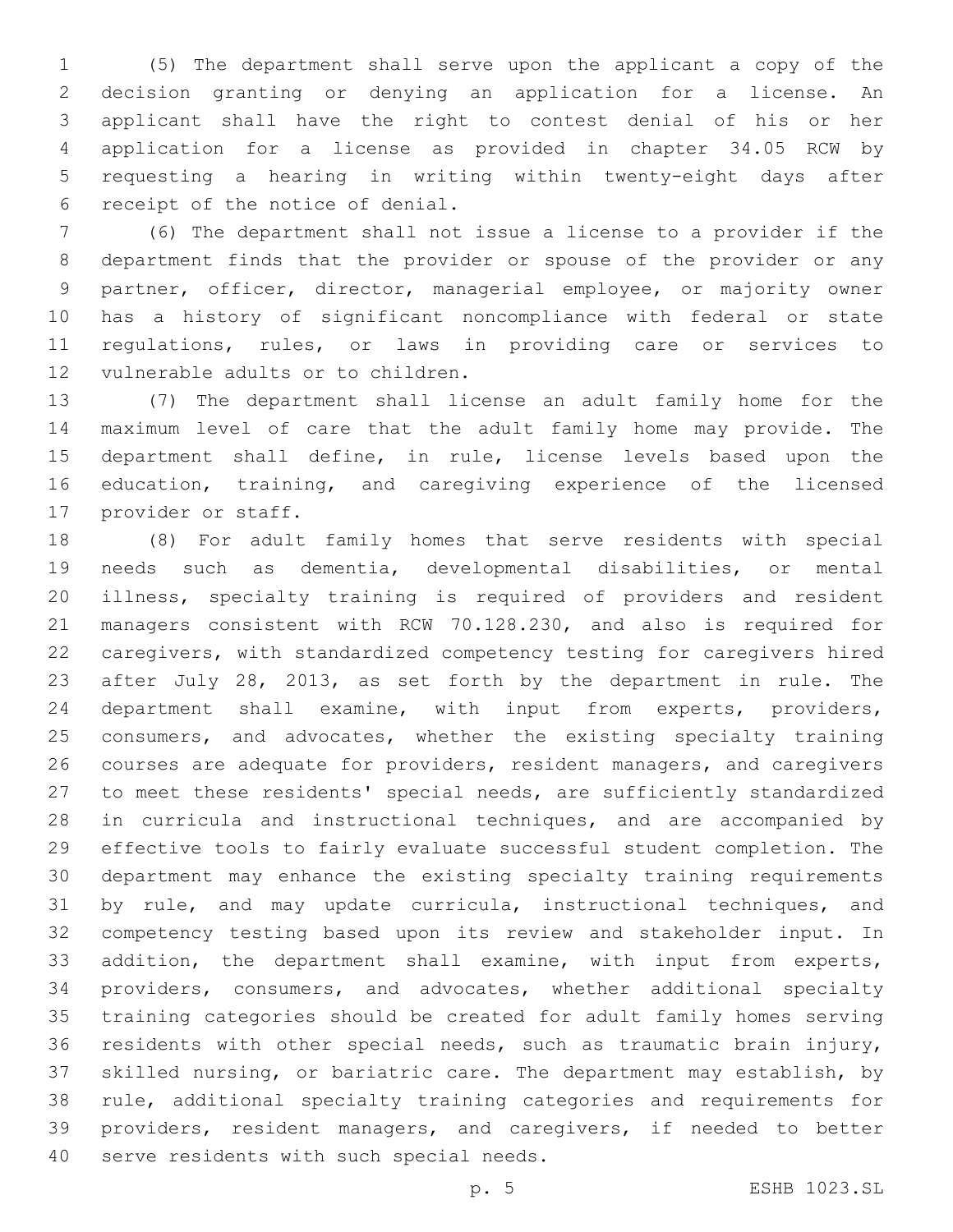(5) The department shall serve upon the applicant a copy of the decision granting or denying an application for a license. An applicant shall have the right to contest denial of his or her application for a license as provided in chapter 34.05 RCW by requesting a hearing in writing within twenty-eight days after 6 receipt of the notice of denial.

 (6) The department shall not issue a license to a provider if the department finds that the provider or spouse of the provider or any partner, officer, director, managerial employee, or majority owner has a history of significant noncompliance with federal or state regulations, rules, or laws in providing care or services to 12 vulnerable adults or to children.

 (7) The department shall license an adult family home for the maximum level of care that the adult family home may provide. The department shall define, in rule, license levels based upon the education, training, and caregiving experience of the licensed 17 provider or staff.

 (8) For adult family homes that serve residents with special needs such as dementia, developmental disabilities, or mental illness, specialty training is required of providers and resident managers consistent with RCW 70.128.230, and also is required for caregivers, with standardized competency testing for caregivers hired after July 28, 2013, as set forth by the department in rule. The department shall examine, with input from experts, providers, 25 consumers, and advocates, whether the existing specialty training courses are adequate for providers, resident managers, and caregivers to meet these residents' special needs, are sufficiently standardized in curricula and instructional techniques, and are accompanied by effective tools to fairly evaluate successful student completion. The department may enhance the existing specialty training requirements 31 by rule, and may update curricula, instructional techniques, and competency testing based upon its review and stakeholder input. In addition, the department shall examine, with input from experts, providers, consumers, and advocates, whether additional specialty training categories should be created for adult family homes serving residents with other special needs, such as traumatic brain injury, skilled nursing, or bariatric care. The department may establish, by rule, additional specialty training categories and requirements for providers, resident managers, and caregivers, if needed to better 40 serve residents with such special needs.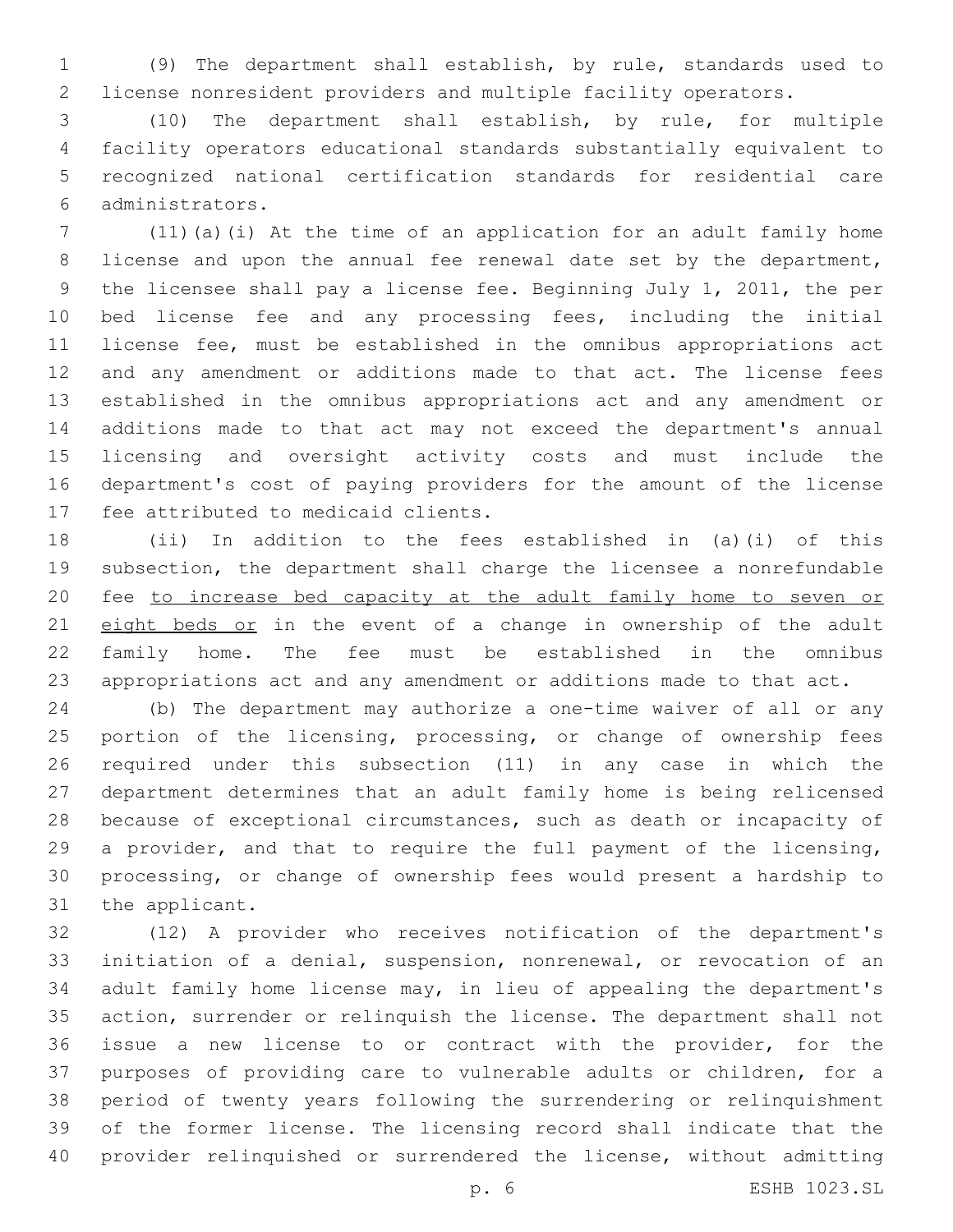(9) The department shall establish, by rule, standards used to license nonresident providers and multiple facility operators.

 (10) The department shall establish, by rule, for multiple facility operators educational standards substantially equivalent to recognized national certification standards for residential care administrators.6

 (11)(a)(i) At the time of an application for an adult family home license and upon the annual fee renewal date set by the department, the licensee shall pay a license fee. Beginning July 1, 2011, the per bed license fee and any processing fees, including the initial license fee, must be established in the omnibus appropriations act 12 and any amendment or additions made to that act. The license fees established in the omnibus appropriations act and any amendment or additions made to that act may not exceed the department's annual licensing and oversight activity costs and must include the department's cost of paying providers for the amount of the license 17 fee attributed to medicaid clients.

 (ii) In addition to the fees established in (a)(i) of this subsection, the department shall charge the licensee a nonrefundable fee to increase bed capacity at the adult family home to seven or 21 eight beds or in the event of a change in ownership of the adult family home. The fee must be established in the omnibus appropriations act and any amendment or additions made to that act.

 (b) The department may authorize a one-time waiver of all or any 25 portion of the licensing, processing, or change of ownership fees required under this subsection (11) in any case in which the department determines that an adult family home is being relicensed because of exceptional circumstances, such as death or incapacity of a provider, and that to require the full payment of the licensing, processing, or change of ownership fees would present a hardship to 31 the applicant.

 (12) A provider who receives notification of the department's initiation of a denial, suspension, nonrenewal, or revocation of an adult family home license may, in lieu of appealing the department's action, surrender or relinquish the license. The department shall not issue a new license to or contract with the provider, for the purposes of providing care to vulnerable adults or children, for a period of twenty years following the surrendering or relinquishment of the former license. The licensing record shall indicate that the provider relinquished or surrendered the license, without admitting

p. 6 ESHB 1023.SL